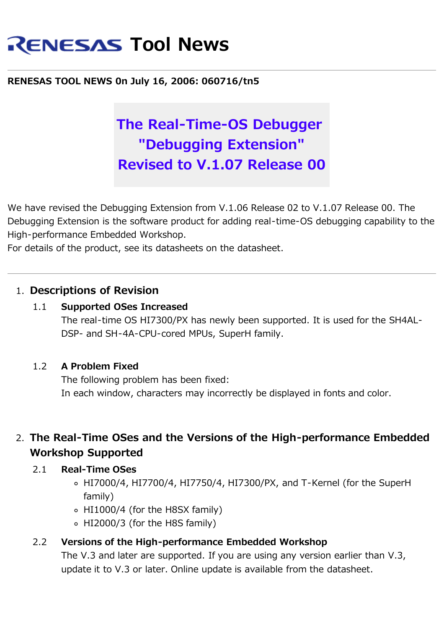# **RENESAS Tool News**

## **RENESAS TOOL NEWS 0n July 16, 2006: 060716/tn5**

## **The Real-Time-OS Debugger "Debugging Extension" Revised to V.1.07 Release 00**

We have revised the Debugging Extension from V.1.06 Release 02 to V.1.07 Release 00. The Debugging Extension is the software product for adding real-time-OS debugging capability to the High-performance Embedded Workshop.

For details of the product, see its datasheets on the datasheet.

## 1. **Descriptions of Revision**

## 1.1 **Supported OSes Increased**

The real-time OS HI7300/PX has newly been supported. It is used for the SH4AL-DSP- and SH-4A-CPU-cored MPUs, SuperH family.

## 1.2 **A Problem Fixed**

The following problem has been fixed: In each window, characters may incorrectly be displayed in fonts and color.

## 2. **The Real-Time OSes and the Versions of the High-performance Embedded Workshop Supported**

## 2.1 **Real-Time OSes**

- HI7000/4, HI7700/4, HI7750/4, HI7300/PX, and T-Kernel (for the SuperH family)
- HI1000/4 (for the H8SX family)
- HI2000/3 (for the H8S family)

## 2.2 **Versions of the High-performance Embedded Workshop**

The V.3 and later are supported. If you are using any version earlier than V.3, update it to V.3 or later. Online update is available from the datasheet.